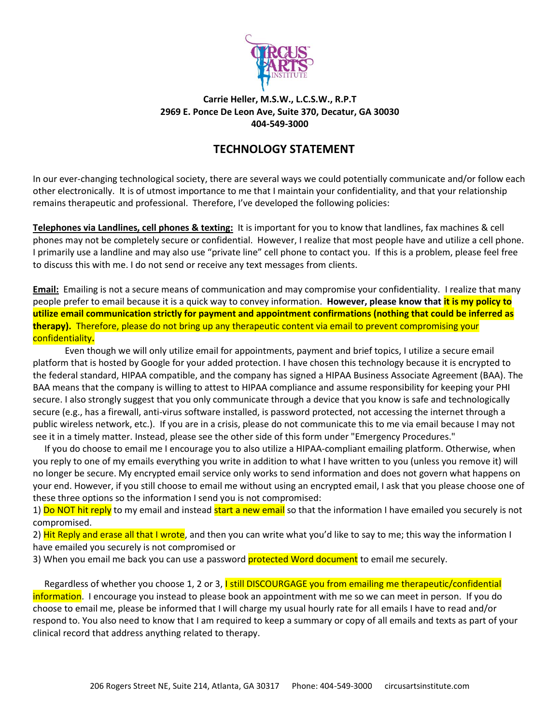

## **Carrie Heller, M.S.W., L.C.S.W., R.P.T 2969 E. Ponce De Leon Ave, Suite 370, Decatur, GA 30030 404-549-3000**

## **TECHNOLOGY STATEMENT**

In our ever-changing technological society, there are several ways we could potentially communicate and/or follow each other electronically. It is of utmost importance to me that I maintain your confidentiality, and that your relationship remains therapeutic and professional. Therefore, I've developed the following policies:

**Telephones via Landlines, cell phones & texting:** It is important for you to know that landlines, fax machines & cell phones may not be completely secure or confidential. However, I realize that most people have and utilize a cell phone. I primarily use a landline and may also use "private line" cell phone to contact you. If this is a problem, please feel free to discuss this with me. I do not send or receive any text messages from clients.

**Email:** Emailing is not a secure means of communication and may compromise your confidentiality. I realize that many people prefer to email because it is a quick way to convey information. **However, please know that it is my policy to utilize email communication strictly for payment and appointment confirmations (nothing that could be inferred as therapy).** Therefore, please do not bring up any therapeutic content via email to prevent compromising your confidentiality**.**

 Even though we will only utilize email for appointments, payment and brief topics, I utilize a secure email platform that is hosted by Google for your added protection. I have chosen this technology because it is encrypted to the federal standard, HIPAA compatible, and the company has signed a HIPAA Business Associate Agreement (BAA). The BAA means that the company is willing to attest to HIPAA compliance and assume responsibility for keeping your PHI secure. I also strongly suggest that you only communicate through a device that you know is safe and technologically secure (e.g., has a firewall, anti-virus software installed, is password protected, not accessing the internet through a public wireless network, etc.). If you are in a crisis, please do not communicate this to me via email because I may not see it in a timely matter. Instead, please see the other side of this form under "Emergency Procedures."

 If you do choose to email me I encourage you to also utilize a HIPAA-compliant emailing platform. Otherwise, when you reply to one of my emails everything you write in addition to what I have written to you (unless you remove it) will no longer be secure. My encrypted email service only works to send information and does not govern what happens on your end. However, if you still choose to email me without using an encrypted email, I ask that you please choose one of these three options so the information I send you is not compromised:

1) Do NOT hit reply to my email and instead start a new email so that the information I have emailed you securely is not compromised.

2) Hit Reply and erase all that I wrote, and then you can write what you'd like to say to me; this way the information I have emailed you securely is not compromised or

3) When you email me back you can use a password **protected Word document** to email me securely.

Regardless of whether you choose 1, 2 or 3, I still DISCOURGAGE you from emailing me therapeutic/confidential information. I encourage you instead to please book an appointment with me so we can meet in person. If you do choose to email me, please be informed that I will charge my usual hourly rate for all emails I have to read and/or respond to. You also need to know that I am required to keep a summary or copy of all emails and texts as part of your clinical record that address anything related to therapy.